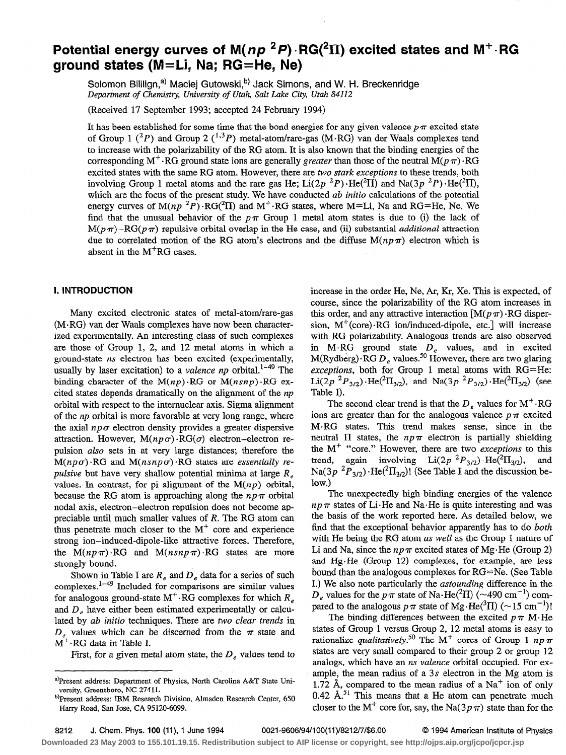# Potential energy curves of M( $np^2P$ )  $\cdot$ RG( $^2$ II) excited states and M<sup>+</sup> $\cdot$ RG ground states (M=Li, Na; RG=He, Ne)

Solomon Bililign,<sup>a)</sup> Maciej Gutowski,<sup>b)</sup> Jack Simons, and W. H. Breckenridge Department of Chemistry, University of Utah, Salt Lake City, Utah 84112

(Received 17 September 1993; accepted 24 February 1994)

It has been established for some time that the bond energies for any given valence  $p \pi$  excited state of Group 1  $(^{2}P)$  and Group 2  $(^{1,3}P)$  metal-atom/rare-gas (M·RG) van der Waals complexes tend to increase with the polarizability of the RG atom. It is also known that the binding energies of the corresponding  $M^+$  . RG ground state ions are generally greater than those of the neutral  $M(p \pi) \cdot RG$ excited states with the same RG atom. However, there are two stark exceptions to these trends, both involving Group 1 metal atoms and the rare gas He; Li(2p  ${}^{2}P$ )  ${}^{1}He({}^{2}\Pi)$  and Na(3p  ${}^{2}P$ )  ${}^{1}He({}^{2}\Pi)$ , which are the focus of the present study. We have conducted *ab initio* calculations of the potential energy curves of  $M(np^2P)$   $RG(^2\Pi)$  and  $M^+$  RG states, where M=Li, Na and RG=He, Ne. We find that the unusual behavior of the  $p\pi$  Group 1 metal atom states is due to (i) the lack of  $M(p\pi) - RG(p\pi)$  repulsive orbital overlap in the He case, and (ii) substantial *additional* attraction due to correlated motion of the RG atom's electrons and the diffuse  $M(np\pi)$  electron which is absent in the  $M<sup>+</sup>RG$  cases.

# I. INTRODUCTION

Many excited electronic states of metal-atom/rare-gas (M.RG) van der Waals complexes have now been characterized experimentally. An interesting class of such complexes are those of Group 1, 2, and 12 metal atoms in which a ground-state ns electron has been excited (experimentally, usually by laser excitation) to a *valence np* orbital.<sup>1-49</sup> The binding character of the  $M(np)$  RG or  $M(nsnp)$  RG excited states depends dramatically on the alignment of the np orbital with respect to the internuclear axis. Sigma alignment of the *np* orbital is more favorable at very long range, where the axial  $np\sigma$  electron density provides a greater dispersive attraction. However,  $M(np \sigma) \cdot RG(\sigma)$  electron-electron repulsion also sets in at very large distances; therefore the  $M(np\sigma)$ .RG and  $M(nsnp\sigma)$ .RG states are *essentially repulsive* but have very shallow potential minima at large  $R_a$ values. In contrast, for pi alignment of the  $M(np)$  orbital, because the RG atom is approaching along the  $np\pi$  orbital nodal axis, electron-electron repulsion does not become appreciable until much smaller values of R. The RG atom can thus penetrate much closer to the  $M<sup>+</sup>$  core and experience strong ion-induced-dipole-like attractive forces. Therefore, the  $M(np\pi)$  RG and  $M(nsnp\pi)$  RG states are more strongly bound.

Shown in Table I are  $R_e$  and  $D_e$  data for a series of such complexes.<sup>1-49</sup> Included for comparisons are similar values for analogous ground-state  $M^+$  RG complexes for which  $R_{\epsilon}$ and  $D<sub>e</sub>$  have either been estimated experimentally or calculated by ab initio techniques. There are two clear trends in  $D<sub>e</sub>$  values which can be discerned from the  $\pi$  state and  $M^+$  RG data in Table I.

First, for a given metal atom state, the  $D_e$  values tend to

increase in the order He, Ne, Ar, Kr, Xe. This is expected, of course, since the polarizability of the RG atom increases in this order, and any attractive interaction  $[M(p \pi) \cdot RG$  dispersion,  $M^+$ (core)  $RG$  ion/induced-dipole, etc.] will increase with RG polarizability. Analogous trends are also observed in M·RG ground state  $D_e$  values, and in excited M(Rydberg) $\cdot$ RG  $D_e$  values.<sup>30</sup> However, there are two glaring exceptions, both for Group 1 metal atoms with RG=He: Li(2p  ${}^{2}P_{3/2}$ )  $He({}^{2}\Pi_{3/2})$ , and Na(3p  ${}^{2}P_{3/2}$ )  $He({}^{2}\Pi_{3/2})$  (see Table I).

The second clear trend is that the  $D_e$  values for  $M^+$ ·RG ions are greater than for the analogous valence  $p\pi$  excited M·RG states. This trend makes sense, since in the neutral  $\Pi$  states, the  $np\pi$  electron is partially shielding the  $M^+$  "core." However, there are two *exceptions* to this trend, again involving  $Li(2p^2P_{3/2}) \cdot He(^2\Pi_{3/2}),$  $\text{Na}(3p^2P_{3/2}) \cdot \text{He}(^{2}\Pi_{3/2})$ ! (See Table I and the discussion below.)

The unexpectedly high binding energies of the valence  $np\pi$  states of Li-He and Na-He is quite interesting and was the basis of the work reported here. As detailed below, we find that the exceptional behavior apparently has to do both with He being the RG atom as well as the Group 1 nature of Li and Na, since the  $np \pi$  excited states of Mg  $\cdot$  He (Group 2) and Hg.He (Group 12) complexes, for example, are less bound than the analogous complexes for RG=Ne. (See Table I.) We also note particularly the astounding difference in the  $D<sub>e</sub>$  values for the  $p\pi$  state of Na $\cdot$ He(<sup>2</sup>II) (~490 cm<sup>-1</sup>) compared to the analogous  $p \pi$  state of Mg·He(<sup>3</sup>II) (~15 cm<sup>-1</sup>)!

The binding differences between the excited  $p \pi$  M-He states of Group 1 versus Group 2, 12 metal atoms is easy to rationalize qualitatively.<sup>50</sup> The M<sup>+</sup> cores of Group 1  $np \pi$ states are very small compared to their group 2 or group 12 analogs, which have an ns valence orbital occupied. For example, the mean radius of a 3s electron in the Mg atom is 1.72 Å, compared to the mean radius of a  $Na<sup>+</sup>$  ion of only 0.42 Å.<sup>51</sup> This means that a He atom can penetrate much closer to the M<sup>+</sup> core for, say, the Na(3p $\pi$ ) state than for the

**Downloaded 23 May 2003 to 155.101.19.15. Redistribution subject to AIP license or copyright, see http://ojps.aip.org/jcpo/jcpcr.jsp**

a)Present address: Department of Physics, North Carolina A&T State University, Greensboro, NC 27411.

b)Present address: IBM Research Division, Almaden Research Center, 650 Harry Road, San Jose, CA 95120-6099.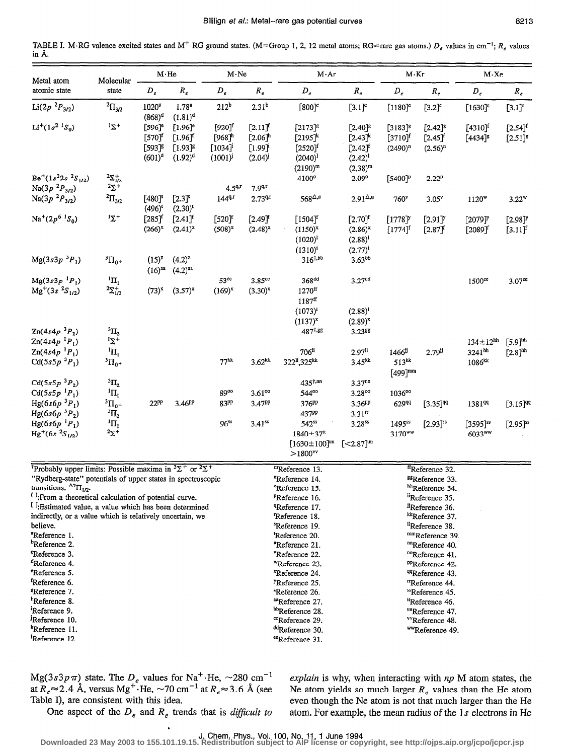TABLE I. M·RG valence excited states and M<sup>+</sup>·RG ground states. (M=Group 1, 2, 12 metal atoms; RG=rare gas atoms.)  $D_e$  values in cm<sup>-1</sup>;  $R_e$  values in A.

| Metal atom                                                                                                                                                                                                               | Molecular                                                       | M·He                                                                     |                                                                                         | $M \cdot Ne$                                                                                            |                                                                 | $\mathbf{M}\cdot\mathbf{Ar}$                                                                     |                                                                                | $M \cdot Kr$                                              |                                                                                           | $M \cdot Xe$                                      |                                                |
|--------------------------------------------------------------------------------------------------------------------------------------------------------------------------------------------------------------------------|-----------------------------------------------------------------|--------------------------------------------------------------------------|-----------------------------------------------------------------------------------------|---------------------------------------------------------------------------------------------------------|-----------------------------------------------------------------|--------------------------------------------------------------------------------------------------|--------------------------------------------------------------------------------|-----------------------------------------------------------|-------------------------------------------------------------------------------------------|---------------------------------------------------|------------------------------------------------|
| atomic state                                                                                                                                                                                                             | state                                                           | $D_{\epsilon}$                                                           | $R_{e}\,$                                                                               | $D_e$                                                                                                   | $R_e\;$                                                         | $D_e$                                                                                            | $R_e$                                                                          | $D_e$                                                     | $R_{e}\,$                                                                                 | $D_e$                                             | $R_e$                                          |
| $Li(2p^{2}P_{3/2})$                                                                                                                                                                                                      | $^2\Pi_{3/2}$                                                   | 1020 <sup>a</sup><br>$(868)^d$                                           | 1.78 <sup>a</sup><br>$(1.81)^d$                                                         | 212 <sup>b</sup>                                                                                        | $2.31^{b}$                                                      | $[800]$ <sup>c</sup>                                                                             | $[3.1]$ <sup>c</sup>                                                           | $[1180]$ <sup>c</sup>                                     | $[3.2]$ <sup>c</sup>                                                                      | $[1630]$ <sup>c</sup>                             | $[3.1]$ <sup>c</sup>                           |
| $Li^+(1s^2~^1S_0)$                                                                                                                                                                                                       | $1\Sigma^+$                                                     | $[596]$ <sup>e</sup><br>$[570]^{\mathrm{f}}$<br>$[593]^{8}$<br>$(601)^d$ | $[1.96]$ <sup>e</sup><br>$[1.96]$ <sup>f</sup><br>$[1.93]$ <sup>g</sup><br>$(1.92)^{d}$ | $[920]$ <sup>f</sup><br>$[968]$ <sup>h</sup><br>$[1034]$<br>$(1001)^{j}$                                | $[2.11]$ f<br>$[2.06]$<br>$[1.99]$ <sup>i</sup><br>$(2.04)^{j}$ | $[2173]$ <sup>g</sup><br>$[2195]^{k}$<br>$[2520]$ <sup>f</sup><br>$(2040)^{1}$                   | $[2.40]$ <sup>g</sup><br>$[2.43]^{k}$<br>$[2.42]$ <sup>f</sup><br>$(2.42)^{1}$ | $[3183]^g$<br>$[3710]^{\rm f}$<br>$(2490)^n$              | $[2.42]$ <sup>g</sup><br>$[2.45]$ f<br>$(2.56)^n$                                         | $[4310]$ <sup>f</sup><br>$[4434]^{8}$             | $[2.54]$ f<br>$[2.51]$ <sup>g</sup>            |
| $Be^{+}(1s^{2}2s^{2}S_{1/2})$<br>Na(3 $p^{2}P_{3/2}$ )                                                                                                                                                                   | $2\Sigma_{1/2}^{+}$<br>$2\Sigma^+$                              |                                                                          |                                                                                         | $4.5^{q,r}$                                                                                             | $7.99^{r}$                                                      | $(2190)^m$<br>4100°                                                                              | $(2.38)^m$<br>$2.09^\circ$                                                     | [5400] <sup>p</sup>                                       | 2.22P                                                                                     |                                                   |                                                |
| Na(3p ${}^{2}P_{3/2}$ )                                                                                                                                                                                                  | ${}^{2}\Pi_{3/2}$                                               | $[480]$<br>$(496)$ <sup>t</sup>                                          | $[2.3]$ <sup>s</sup><br>$(2.30)^t$                                                      | $144^{q,r}$                                                                                             | 2.739x                                                          | 568 $\Delta,\mu$                                                                                 | $2.91^{\Delta,\mathrm{u}}$                                                     | 760 <sup>v</sup>                                          | $3.05^{\rm v}$                                                                            | $1120^w$                                          | $3.22^{\prime\prime}$                          |
| $Na^{+}(2p^{6} S_{0})$                                                                                                                                                                                                   | $1\Sigma^+$                                                     | [285]<br>$(266)^{x}$                                                     | $[2.41]$ f<br>$(2.41)^{x}$                                                              | $[520]^{\rm f}$<br>$(508)^{x}$                                                                          | $[2.49]$ f<br>$(2.48)^{x}$                                      | $[1504]^{\mathrm{f}}$<br>$(1150)^{x}$<br>$(1020)^{1}$<br>$(1310)^{i}$                            | $[2.70]$ f<br>$(2.86)^{x}$<br>$(2.88)^{1}$<br>$(2.77)^{i}$                     | $[1778]$ <sup>y</sup><br>$[1774]^{\rm f}$                 | $[2.91]$ <sup>y</sup><br>$[2.87]^{\rm f}$                                                 | [2079]<br>$[2089]^{\mathrm{f}}$                   | $[2.98]$<br>$[3.11]$ <sup>f</sup>              |
| $Mg(3s3p~^3P_1)$                                                                                                                                                                                                         | $\rm{^{3}\Pi_{0^+}}$                                            | $(15)^{z}$<br>$(16)^{aa}$                                                | $(4.2)^{z}$<br>$(4.2)^{aa}$                                                             |                                                                                                         |                                                                 | $316^{1,bb}$                                                                                     | $3.63^{bb}$                                                                    |                                                           |                                                                                           |                                                   |                                                |
| $Mg(3s3p~^1P_1)$<br>$Mg^+(3s^2S_{1/2})$                                                                                                                                                                                  | ${}^{1}\Pi_1$<br>$2\Sigma_{1/2}^{+}$                            | $(73)^{x}$                                                               | $(3.57)^{x}$                                                                            | 53 <sup>cc</sup><br>$(169)^{x}$                                                                         | $3.85$ <sup>cc</sup><br>$(3.30)^{x}$                            | 368 <sup>dd</sup><br>1270 <sup>ff</sup><br>1187 <sup>ff</sup><br>$(1073)^1$                      | $3.27^{dd}$<br>$(2.88)^1$                                                      |                                                           |                                                                                           | 1500 <sup>ee</sup>                                | $3.07$ ee                                      |
| $Zn(4s4p~^3P_2)$                                                                                                                                                                                                         | $\rm{^{3}\Pi_{2}}$                                              |                                                                          |                                                                                         |                                                                                                         |                                                                 | $(1137)^{x}$<br>$487^{\dagger.85}$                                                               | $(2.89)^{x}$<br>3.2388                                                         |                                                           |                                                                                           |                                                   |                                                |
| $Zn(4s4p^{1}P_{1})$<br>Zn(4s4p <sup>1</sup> P <sub>1</sub> )<br>Cd(5s5p <sup>3</sup> $P_1$ )                                                                                                                             | $1\Sigma^+$<br>${}^{1}\Pi_{1}$<br>$^{3}\Pi_{0}+$                |                                                                          |                                                                                         | $77$ <sup>kk</sup>                                                                                      | $3.62^{kk}$                                                     | $706$ <sup>ii</sup><br>322 <sup>11</sup> ,325 <sup>kk</sup>                                      | $2.97$ <sup>ii</sup><br>$3.45^{kk}$                                            | 1466 <sup>ij</sup><br>513 <sup>kk</sup>                   | $2.79$ <sup>ij</sup>                                                                      | $134 \pm 12^{hh}$<br>3241hh<br>1086 <sup>kk</sup> | $[5.9]$ <sup>hh</sup><br>$[2.8]$ <sup>hh</sup> |
| $Cd(5s5p~^3P_2)$<br>$Cd(5s5p~^1P_1)$                                                                                                                                                                                     | $\overline{1}$ <sup>3</sup> $\Pi$ <sub>2</sub><br>${}^{1}\Pi_1$ |                                                                          |                                                                                         | 89°°                                                                                                    | $3.61^{\circ\circ}$                                             | $435^{\text{t},\text{nn}}$<br>54400                                                              | 3.37 <sup>nn</sup><br>$3.28^{\circ\circ}$                                      | $[499]^{mm}$<br>1036°°                                    |                                                                                           |                                                   |                                                |
| $Hg(6s6p~^3P_1)$<br>$Hg(6s6p~^3P_2)$                                                                                                                                                                                     | $^{3}\Pi_{0+}$<br>$\rm{^{3}\Pi_{2}}$                            | $22$ PP                                                                  | 3.46 <sup>pp</sup>                                                                      | 83PP                                                                                                    | 3.47PP                                                          | 376 <sup>pp</sup><br>437PP                                                                       | 3.36 <sup>pp</sup><br>3.31 <sup>π</sup>                                        | 62999                                                     | $[3.35]^{qq}$                                                                             | 138199                                            | $[3.15]^{qq}$                                  |
| $Hg(6s6p~^1P_1)$<br>$Hg^+(6s^2S_{1/2})$                                                                                                                                                                                  | ${}^{1}\Pi_{1}$<br>$2\Sigma^+$                                  |                                                                          |                                                                                         | 96ss                                                                                                    | $3.41$ ss                                                       | 542ss<br>$1840 \pm 37$ <sup>tt</sup><br>$[1630 \pm 100]$ uu<br>$>1800$ <sup>vv</sup>             | $3.28^{ss}$<br>$\left[ < 2.87 \right]$ <sup>uu</sup>                           | 1495ss<br>3170 <sup>ww</sup>                              | $[2.93]$ <sup>ss</sup>                                                                    | $[3595]$ <sup>ss</sup><br>6033 <sup>ww</sup>      | $[2.95]^\mathrm{ss}$                           |
| <sup>†</sup> Probably upper limits: Possible maxima in ${}^{3}\Sigma^{+}$ or ${}^{2}\Sigma^{+}$<br>"Rydberg-state" potentials of upper states in spectroscopic                                                           |                                                                 |                                                                          |                                                                                         |                                                                                                         | "Reference 13.<br>"Reference 14.                                |                                                                                                  |                                                                                | $f_{\text{Reference}}$ 32.<br><sup>88</sup> Reference 33. |                                                                                           |                                                   |                                                |
| transitions. ${}^{\Delta 2} \Pi_{1/2}$ .<br>():From a theoretical calculation of potential curve.<br>[ ]: Estimated value, a value which has been determined<br>indirectly, or a value which is relatively uncertain, we |                                                                 |                                                                          |                                                                                         | <sup>o</sup> Reference 15.<br><sup>P</sup> Reference 16.<br><sup>q</sup> Reference 17.<br>Reference 18. |                                                                 | hhReference 34.<br>iReference 35.<br><sup>JI</sup> Reference 36.<br>kkReference 37.              |                                                                                |                                                           |                                                                                           |                                                   |                                                |
| believe.<br><sup>a</sup> Reference 1.<br><sup>b</sup> Reference 2.                                                                                                                                                       |                                                                 |                                                                          |                                                                                         | <sup>s</sup> Reference 19.<br>Reference 20.<br>"Reference 21.                                           |                                                                 |                                                                                                  | <sup>ll</sup> Reference 38.<br>mmReference 39.<br><sup>nn</sup> Reference 40.  |                                                           |                                                                                           |                                                   |                                                |
| Reference 3.<br><sup>d</sup> Reference 4.<br>Reference 5.                                                                                                                                                                |                                                                 |                                                                          |                                                                                         |                                                                                                         |                                                                 | <sup>v</sup> Reference 22.<br>"Reference 23.<br><sup>x</sup> Reference 24.                       |                                                                                |                                                           | <sup>oo</sup> Reference 41.<br><sup>pp</sup> Reference 42.<br><sup>qq</sup> Reference 43. |                                                   |                                                |
| Reference 6.<br><sup>5</sup> Reference 7.<br><sup>h</sup> Reference 8.                                                                                                                                                   |                                                                 |                                                                          |                                                                                         |                                                                                                         |                                                                 | <sup>y</sup> Reference 25.<br><sup>z</sup> Reference 26.<br>aaReference 27.                      |                                                                                |                                                           | "Reference 44.<br><sup>ss</sup> Reference 45.<br>"Reference 46.                           |                                                   |                                                |
| 'Reference 9.<br>Reference 10.<br><sup>k</sup> Reference 11.<br>Reference 12.                                                                                                                                            |                                                                 |                                                                          |                                                                                         |                                                                                                         |                                                                 | bb <sub>Reference 28.</sub><br><sup>cc</sup> Reference 29.<br>ddReference 30.<br>eeReference 31. |                                                                                |                                                           | uuReference 47.<br><sup>vv</sup> Reference 48.<br>ww <sub>Reference 49.</sub>             |                                                   |                                                |

 $Mg(3s3p\pi)$  state. The  $D_{e}$  values for Na<sup>+</sup> He,  $\sim$ 280 cm<sup>-</sup> at  $R_e \approx 2.4$  Å, versus Mg<sup>+</sup> He,  $\sim 70$  cm<sup>-1</sup> at  $R_e \approx 3.6$  Å (see

.

explain is why, when interacting with  $np$  M atom states, the Ne atom yields so much larger  $R_e$  values than the He atom Table I), are consistent with this idea. even though the Ne atom is not that much larger than the He One aspect of the  $D_e$  and  $R_e$  trends that is *difficult to* atom. For example, the mean radius of the 1s electrons in He

J.Chem. Phys.,Vol. 100, No. 11, 1 June 1994 **Downloaded 23 May 2003 to 155.101.19.15. Redistribution subject to AIP license or copyright, see http://ojps.aip.org/jcpo/jcpcr.jsp**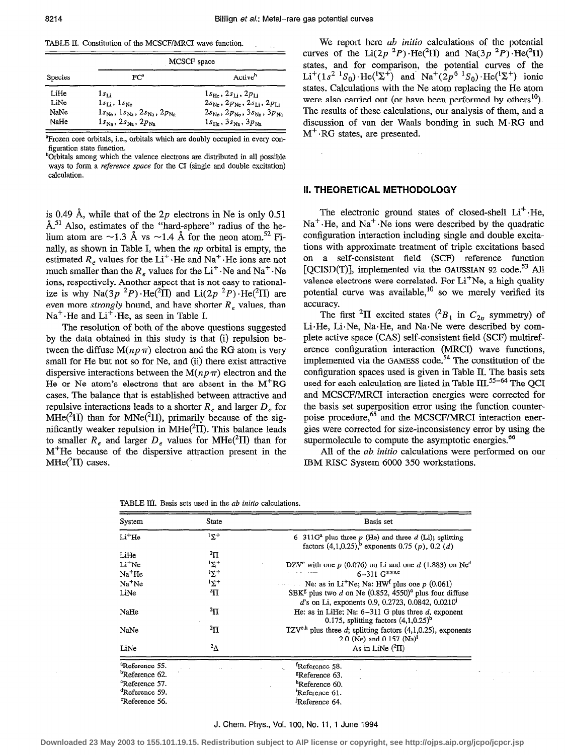TABLE II. Constitution of the MCSCF/MRCI wave function.

|                | MCSCF space                                                               |                                                                           |  |  |  |
|----------------|---------------------------------------------------------------------------|---------------------------------------------------------------------------|--|--|--|
| <b>Species</b> | FCª                                                                       | Active <sup>b</sup>                                                       |  |  |  |
| LiHe           | $1s_{Li}$                                                                 | $1s_{He}$ , $2s_{Li}$ , $2p_{Li}$                                         |  |  |  |
| LiNe           | $1s_{Li}$ , $1s_{Ne}$                                                     | $2s_{\text{Ne}}$ , $2p_{\text{Ne}}$ , $2s_{\text{Li}}$ , $2p_{\text{Li}}$ |  |  |  |
| <b>NaNe</b>    | $1s_{\text{Ne}}$ , $1s_{\text{Na}}$ , $2s_{\text{Na}}$ , $2p_{\text{Na}}$ | $2s_{Ne}$ , $2p_{Ne}$ , $3s_{Na}$ , $3p_{Na}$                             |  |  |  |
| NaHe           | $1s_{\text{Na}}$ , $2s_{\text{Na}}$ , $2p_{\text{Na}}$                    | $1s_{\text{He}}$ , $3s_{\text{Na}}$ , $3p_{\text{Na}}$                    |  |  |  |

'Frozen core orbitals, i.e., orbitals which are doubly occupied in every configuration state function.

<sup>b</sup>Orbitals among which the valence electrons are distributed in all possible ways to form a reference space for the CI (single and double excitation) calculation.

is 0.49 Å, while that of the  $2p$  electrons in Ne is only 0.51 Å.<sup>51</sup> Also, estimates of the "hard-sphere" radius of the helium atom are  $\sim$ 1.3 Å vs  $\sim$ 1.4 Å for the neon atom.<sup>52</sup> Finally, as shown in Table I, when the np orbital is empty, the estimated  $R_e$ , values for the Li<sup>+</sup>. He and Na<sup>+</sup>. He ions are not much smaller than the  $R_e$ , values for the  $Li^+$ . Ne and Na<sup>+</sup>. Ne ions, respectively. Another aspect that is not easy to rationalize is why Na(3p  ${}^{2}P) \cdot \text{He}(^{2}\Pi)$  and Li(2p  ${}^{2}P) \cdot \text{He}(^{2}\Pi)$  are even more *strongly* bound, and have shorter  $R_{\epsilon}$  values, than  $Na<sup>+</sup>$ . He and  $Li<sup>+</sup>$ . He, as seen in Table I.

The resolution of both of the above questions suggested by the data obtained in this study is that (i) repulsion between the diffuse  $M(np \pi)$  electron and the RG atom is very small for He but not so for Ne, and (ii) there exist attractive dispersive interactions between the  $M(np \pi)$  electron and the He or Ne atom's electrons that are absent in the  $M<sup>+</sup>RG$ cases. The balance that is established between attractive and repulsive interactions leads to a shorter  $R_{\alpha}$  and larger  $D_{\alpha}$  for MHe( ${}^{2}$ II) than for MNe( ${}^{2}$ II), primarily because of the significantly weaker repulsion in MHe $(^{2}$ II). This balance leads to smaller  $R_e$  and larger  $D_e$  values for MHe(<sup>2</sup>II) than for MfHe because of the dispersive attraction present in the  $MHe(^{2}\Pi)$  cases.

We report here *ab initio* calculations of the potential curves of the Li(2p  ${}^{2}P$ )  $\text{He}(^{2}\text{II})$  and Na(3p  ${}^{2}P$ )  $\text{He}(^{2}\text{II})$ states, and for comparison, the potential curves of the  $Li^+(1s^2~^1S_0)$   $He(^1\Sigma^+)$  and  $Na^+(2p^6~^1S_0)$   $He(^1\Sigma^+)$  ionic states. Calculations with the Ne atom replacing the He atom were also carried out (or have been performed by others $^{10}$ ). The results of these calculations, our analysis of them, and a discussion of van der Waals bonding in such M·RG and  $M^{+}$  RG states, are presented.

#### II. THEORETICAL METHODOLOGY

The electronic ground states of closed-shell  $Li^+$ . He,  $Na<sup>+</sup>$  -He, and  $Na<sup>+</sup>$  -Ne ions were described by the quadratic configuration interaction including single and double excitations with approximate treatment of triple excitations based on a self-consistent field (SCF) reference function  $[QCISD(T)]$ , implemented via the GAUSSIAN 92 code.<sup>53</sup> All valence electrons were correlated. For Li<sup>+</sup>Ne, a high quality potential curve was available, $^{10}$  so we merely verified its accuracy.

The first <sup>2</sup>II excited states  $(^{2}B_{1}$  in  $C_{2v}$  symmetry) of Li-He, Li-Ne, Na-He, and Na-Ne were described by complete active space (CAS) self-consistent field (SCF) multireference configuration interaction (MRCI) wave functions, implemented via the GAMESS code.<sup>54</sup> The constitution of the configuration spaces used is given in Table II. The basis sets used for each calculation are listed in Table III.<sup>55-64</sup> The QCI and MCSCF/MRCI interaction energies were corrected for the basis set superposition error using the function counterpoise procedure,<sup>65</sup> and the MCSCF/MRCI interaction energies were corrected for size-inconsistency error by using the supermolecule to compute the asymptotic energies.<sup>66</sup>

All of the *ab initio* calculations were performed on our IBM RISC System 6000 350 workstations.

| TABLE III. Basis sets used in the <i>ab initio</i> calculations. |  |  |  |  |  |  |
|------------------------------------------------------------------|--|--|--|--|--|--|
|------------------------------------------------------------------|--|--|--|--|--|--|

| System                     | State                                              | Basis set                                                                                                                                                    |  |  |  |  |
|----------------------------|----------------------------------------------------|--------------------------------------------------------------------------------------------------------------------------------------------------------------|--|--|--|--|
| $Li+He$                    | $1\Sigma^+$                                        | $6-311Ga$ plus three p (He) and three d (Li); splitting<br>factors $(4,1,0.25)$ , exponents 0.75 (p), 0.2 (d)                                                |  |  |  |  |
| LiHe                       | $\rm ^{2} \Pi$                                     |                                                                                                                                                              |  |  |  |  |
| $Li+Ne$                    |                                                    | DZV <sup>c</sup> with one p (0.076) on Li and one d (1.883) on Ne <sup>d</sup>                                                                               |  |  |  |  |
| $Na+He$                    |                                                    | $6 - 311$ $G^{***}$ <sup>2,e</sup>                                                                                                                           |  |  |  |  |
| $Na+Ne$                    | $i_{\Sigma^+}$<br>$i_{\Sigma^+}$<br>$i_{\Sigma^+}$ | Ne: as in Li <sup>+</sup> Ne; Na: HW <sup>f</sup> plus one $p(0.061)$                                                                                        |  |  |  |  |
| LiNe                       | $2\Pi$                                             | SBK <sup><math>g</math></sup> plus two d on Ne (0.852, 4550) <sup>d</sup> plus four diffuse<br>d's on Li, exponents 0.9, 0.2723, 0.0842, 0.0210 <sup>j</sup> |  |  |  |  |
| NaHe                       | $^2\Pi$                                            | He: as in LiHe; Na: $6-311$ G plus three d, exponent<br>0.175, splitting factors $(4,1,0.25)^{b}$                                                            |  |  |  |  |
| NaNe                       | $2\pi$                                             | TZV <sup>e,h</sup> plus three d; splitting factors $(4,1,0.25)$ , exponents<br>2.0 (Ne) and $0.157$ (Na) <sup>i</sup>                                        |  |  |  |  |
| $^2\Delta$<br>LiNe         |                                                    | As in LiNe $(^{2} \Pi)$                                                                                                                                      |  |  |  |  |
| <sup>a</sup> Reference 55. |                                                    | <sup>t</sup> Reference 58.                                                                                                                                   |  |  |  |  |
| <sup>o</sup> Reference 62. |                                                    | <sup>g</sup> Reference 63.                                                                                                                                   |  |  |  |  |
| Reference 57.              |                                                    | <sup>h</sup> Reference 60.                                                                                                                                   |  |  |  |  |
| <sup>d</sup> Reference 59. |                                                    | Reference 61.                                                                                                                                                |  |  |  |  |
| <sup>e</sup> Reference 56. |                                                    | <sup>J</sup> Reference 64.                                                                                                                                   |  |  |  |  |

J. Chem. Phys., Vol. 100, No. 11, 1 June 1994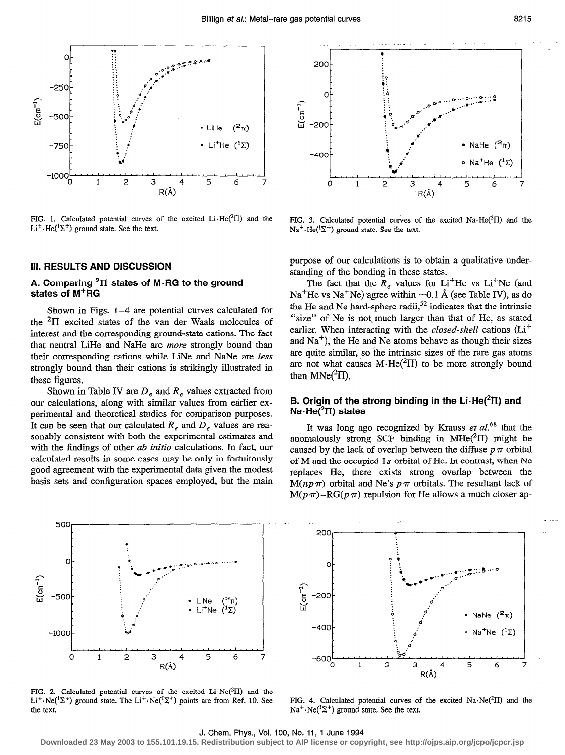

FIG. 1. Calculated potential curves of the excited  $Li\text{-}He(^{2}\Pi)$  and the  $Li^+ \cdot He(^1\Sigma^+)$  ground state. See the text.



FIG. 3. Calculated potential curves of the excited  $Na\cdot He(^{2}\Pi)$  and the  $Na^+ \cdot He({}^{1}\Sigma^{+})$  ground state. See the text.

## III. RESULTS AND DISCUSSION

# A. Comparing  $2\Pi$  states of M-RG to the ground states of M+RG

Shown in Figs. l-4 are potential curves calculated for the  ${}^{2} \Pi$  excited states of the van der Waals molecules of interest and the corresponding ground-state cations. The fact that neutral LiHe and NaHe are more strongly bound than their corresponding cations while LiNe and NaNe are less strongly bound than their cations is strikingly illustrated in these figures.

Shown in Table IV are  $D_e$  and  $R_e$  values extracted from our calculations, along with similar values from earlier experimental and theoretical studies for comparison purposes. It can be seen that our calculated  $R_{\rho}$  and  $D_{\rho}$  values are reasonably consistent with both the experimental estimates and with the findings of other *ab initio* calculations. In fact, our calculated results in some cases may be only in fortuitously good agreement with the experimental data given the modest basis sets and configuration spaces employed, but the main purpose of our calculations is to obtain a qualitative understanding of the bonding in these states.

The fact that the  $R_e$  values for Li<sup>+</sup>He vs Li<sup>+</sup>Ne (and Na<sup>+</sup>He vs Na<sup>+</sup>Ne) agree within  $\sim$ 0.1 Å (see Table IV), as do the He and Ne hard-sphere radii,<sup>52</sup> indicates that the intrinsic "size" of Ne is not much larger than that of He, as stated earlier. When interacting with the *closed-shell* cations  $(Li^+$ and  $Na<sup>+</sup>$ ), the He and Ne atoms behave as though their sizes are quite similar, so the intrinsic sizes of the rare gas atoms are not what causes  $M·He(^{2}H)$  to be more strongly bound than  $MNe({}^2\Pi)$ .

#### B. Origin of the strong binding in the  $Li\cdot He(^{2}II)$  and Na $\cdot$ He( ${}^{2}$ II) states

It was long ago recognized by Krauss et  $al$ .<sup>68</sup> that the anomalously strong SCF binding in  $MHe^{2}\Pi$  might be caused by the lack of overlap between the diffuse  $p \pi$  orbital of M and the occupied 1 s orbital of He. In contrast, when Ne replaces He, there exists strong overlap between the  $M(np\pi)$  orbital and Ne's  $p\pi$  orbitals. The resultant lack of  $M(p\pi)$ -RG( $p\pi$ ) repulsion for He allows a much closer ap-



FIG. 2. Calculated potential curves of the excited  $Li$   $Ne(^{2}\Pi)$  and the  $Li^+$  $Ne(^1\Sigma^+)$  ground state. The  $Li^+$  $Ne(^1\Sigma^+)$  points are from Ref. 10. See the text.



FIG. 4. Calculated potential curves of the excited  $Na \cdot Ne^{2} \Pi$  and the  $Na^+ \cdot Ne(^1\Sigma^+)$  ground state. See the text.

#### J. Chem. Phys., Vol. 100, No. 11, 1 June 1994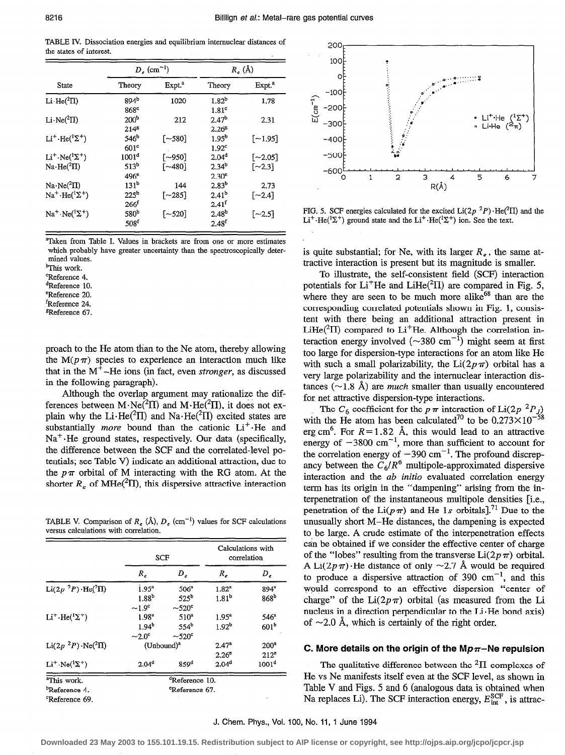TABLE N. Dissociation energies and equilibrium internuclear distances of the states of interest.

|                                             |                   | $D_e$ (cm <sup>-1</sup> ) | $R_e$ (Å)         |                       |  |
|---------------------------------------------|-------------------|---------------------------|-------------------|-----------------------|--|
| State                                       | Theory            | Expt. <sup>a</sup>        | Theory            | Expt. <sup>a</sup>    |  |
| Li $He(^{2}\Pi)$                            | 894 <sup>b</sup>  | 1020                      | $1.82^{b}$        | 1.78                  |  |
|                                             | 868 <sup>c</sup>  |                           | 1.81 <sup>c</sup> |                       |  |
| $Li \cdot Ne(^2\Pi)$                        | 200 <sup>b</sup>  | 212                       | 2.47 <sup>b</sup> | 2.31                  |  |
|                                             | $214^{s}$         |                           | 2.26 <sup>5</sup> |                       |  |
| $Li^+ \cdot He(^1\Sigma^+)$                 | 546 <sup>b</sup>  | $[-580]$                  | 1.95 <sup>b</sup> | $[-1.95]$             |  |
|                                             | 601 <sup>c</sup>  |                           | 1.92 <sup>c</sup> |                       |  |
| $Li^+ \cdot Ne(^1\Sigma^+)$                 | 1001 <sup>d</sup> | $[-950]$                  | 2.04 <sup>d</sup> | $\lceil -2.05 \rceil$ |  |
| $Na \cdot He(^2\Pi)$                        | $513^{b}$         | $[-480]$                  | 2.34 <sup>b</sup> | $\lceil -2.3 \rceil$  |  |
|                                             | 496 <sup>e</sup>  |                           | 2.30 <sup>e</sup> |                       |  |
| $Na \cdot Ne(^2\Pi)$                        | 131 <sup>b</sup>  | 144                       | 2.83 <sup>b</sup> | 2.73                  |  |
| $\text{Na}^+ \cdot \text{He}({}^1\Sigma^+)$ | $225^{\rm b}$     | $1 - 285$                 | 2.41 <sup>b</sup> | $\lceil -2.4 \rceil$  |  |
|                                             | 266 <sup>f</sup>  |                           | 2.41 <sup>f</sup> |                       |  |
| $\text{Na}^+\cdot \text{Ne}(^1\Sigma^+)$    | 580 <sup>b</sup>  | $[-520]$                  | $2.48^{b}$        | $[-2.5]$              |  |
|                                             | 508 <sup>f</sup>  |                           | 2.48 <sup>f</sup> |                       |  |

<sup>a</sup>Taken from Table I. Values in brackets are from one or more estimates which probably have greater uncertainty than the spectroscopically determined values.

<sup>b</sup>This work.

<sup>c</sup>Reference 4.

dReference 10.

'Reference 20.

fReference 24.

gReference 67.

preach to the He atom than to the Ne atom, thereby allowing the  $M(p\pi)$  species to experience an interaction much like that in the  $M^+$ -He ions (in fact, even *stronger*, as discussed in the following paragraph).

Although the overlap argument may rationalize the differences between M $\cdot$ Ne( $\cdot$ II) and M $\cdot$ He( $\cdot$ II), it does not explain why the Li $\cdot$ He( ${}^{2}$ II) and Na $\cdot$ He( ${}^{2}$ II) excited states are substantially *more* bound than the cationic  $Li^+$ <sup>+</sup> $He$  and  $Na<sup>+</sup>·He$  ground states, respectively. Our data (specifically, the difference between the SCF and the correlated-level potentials; see Table V) indicate an additional attraction, due to the  $p\pi$  orbital of M interacting with the RG atom. At the shorter  $R_e$  of MHe(<sup>2</sup>II), this dispersive attractive interaction

TABLE V. Comparison of  $R_a$  (Å),  $D_a$  (cm<sup>-1</sup>) values for SCF calculations versus calculations with correlation.

|                                 | <b>SCF</b>             |                            | Calculations with<br>correlation |                   |
|---------------------------------|------------------------|----------------------------|----------------------------------|-------------------|
|                                 | $R_e$                  | $D_e$                      | $R_{e}$                          | $D_e$             |
| $Li(2p^{2}P) \cdot He(^{2}\Pi)$ | $1.95^a$               | 506 <sup>2</sup>           | $1.82^{a}$                       | 894 <sup>a</sup>  |
|                                 | $1.88^{b}$             | $52.5^{b}$                 | 1.81 <sup>b</sup>                | 868 <sup>b</sup>  |
|                                 | $-1.9^{\circ}$         | $\sim$ 520 $^{\circ}$      |                                  |                   |
| $Li^+ \cdot He(^1\Sigma^+)$     | 1.98 <sup>a</sup>      | 510 <sup>a</sup>           | $1.95^{\rm a}$                   | 546 <sup>a</sup>  |
|                                 | 1.94 <sup>b</sup>      | 554 <sup>b</sup>           | 1.92 <sup>b</sup>                | 601 <sup>b</sup>  |
|                                 | $-2.0^\circ$           | $-520^\circ$               |                                  |                   |
| Li $(2p^2P)\cdot$ Ne $(^2\Pi)$  | (Unbound) <sup>a</sup> |                            | $2.47^{\rm a}$                   | 200 <sup>a</sup>  |
|                                 |                        |                            | $2.26^{\circ}$                   | 212 <sup>e</sup>  |
| $Li^+ \cdot Ne^{i\Sigma^+}$     | 2.04 <sup>d</sup>      | 859 <sup>d</sup>           | 2.04 <sup>d</sup>                | 1001 <sup>d</sup> |
| <sup>a</sup> This work.         |                        | <sup>d</sup> Reference 10. |                                  |                   |
| <sup>b</sup> Reference 4.       |                        | <sup>e</sup> Reference 67. |                                  |                   |
| <sup>c</sup> Reference 69.      |                        |                            |                                  |                   |



FIG. 5. SCF energies calculated for the excited  $Li(2p^2P) \cdot He(^2\Pi)$  and the  $Li^+$  He( ${}^{1}\Sigma^{+}$ ) ground state and the  $Li^+$  He( ${}^{1}\Sigma^{+}$ ) ion. See the text.

is quite substantial; for Ne, with its larger  $R_e$ , the same attractive interaction is present but its magnitude is smaller.

To illustrate, the self-consistent field (SCF) interaction potentials for  $Li^+He$  and  $LiHe(^2\Pi)$  are compared in Fig. 5, where they are seen to be much more alike $68$  than are the corresponding correlated potentials shown in Fig. 1, consistent with there being an additional attraction present in LiHe( ${}^{2}$ H) compared to Li<sup>+</sup>He. Although the correlation interaction energy involved ( $\sim$ 380 cm<sup>-1</sup>) might seem at first too large for dispersion-type interactions for an atom like He with such a small polarizability, the  $Li(2p\pi)$  orbital has a very large polarizability and the internuclear interaction distances ( $\sim$ 1.8 Å) are *much* smaller than usually encountered for net attractive dispersion-type interactions.

The  $C_6$  coefficient for the  $p \pi$  interaction of Li(2p  ${}^{2}P_J$ ) with the He atom has been calculated<sup>70</sup> to be  $0.273 \times 10^{-58}$ erg cm<sup>6</sup>. For  $R = 1.82$  Å, this would lead to an attractive energy of  $-3800 \text{ cm}^{-1}$ , more than sufficient to account for the correlation energy of  $-390 \text{ cm}^{-1}$ . The profound discrepancy between the  $C_6/R^6$  multipole-approximated dispersive interaction and the *ab initio* evaluated correlation energy term has its origin in the "dampening" arising from the interpenetration of the instantaneous multipole densities [i.e., penetration of the Li( $p\pi$ ) and He 1s orbitals].<sup>71</sup> Due to the unusually short M-He distances, the dampening is expected to be large. A crude estimate of the interpenetration effects can be obtained if we consider the effective center of charge of the "lobes" resulting from the transverse  $Li(2p \pi)$  orbital. A Li(2p $\pi$ ) He distance of only  $\sim$ 2.7 Å would be required to produce a dispersive attraction of 390  $cm^{-1}$ , and this would correspond to an effective dispersion "center of charge" of the  $Li(2p\pi)$  orbital (as measured from the Li nucleus in a direction perpendicular to the  $Li$ . He bond axis) of  $\sim$ 2.0 Å, which is certainly of the right order.

#### C. More details on the origin of the Mp $\pi$ -Ne repulsion

The qualitative difference between the  ${}^{2}$ H complexes of He vs Ne manifests itself even at the SCF level, as shown in Table V and Figs. 5 and 6 (analogous data is obtained when Na replaces Li). The SCF interaction energy,  $E_{\text{int}}^{\text{SCF}}$ , is attrac-

#### J. Chem. Phys., Vol. 100, No. 11, 1 June 1994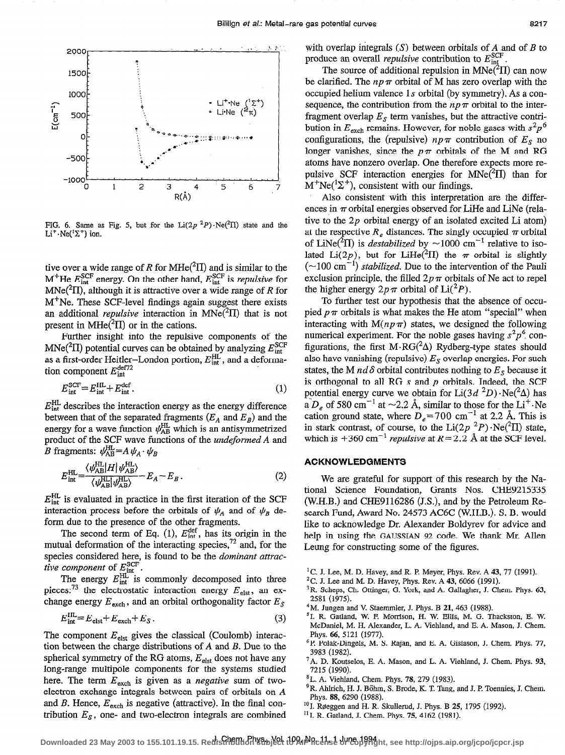

FIG. 6. Same as Fig. 5, but for the Li(2p <sup>2</sup>P) $\cdot$ Ne(<sup>2</sup>II) state and the  $Li^+$  $Ne(^1\Sigma^+)$  ion.

tive over a wide range of R for MHe $(^{2} \Pi)$  and is similar to the  $M^+$ He  $E_{int}^{SCF}$  energy. On the other hand,  $E_{int}^{SCF}$  is *repulsive* for MNe( ${}^{2}$ II), although it is attractive over a wide range of R for  $M<sup>+</sup>$ Ne. These SCF-level findings again suggest there exists an additional *repulsive* interaction in  $MNe<sup>(2</sup>\Pi)$  that is not present in  $MHe({}^2\Pi)$  or in the cations.

Further insight into the repulsive components of the MNe(<sup>2</sup>II) potential curves can be obtained by analyzing  $E_{\text{int}}^{\text{SCF}}$ as a first-order Heitler-London portion,  $E_{int}^{HL}$ , and a deformation component  $E_{\text{int}}^{\text{def72}}$ 

$$
E_{\text{int}}^{\text{SCF}} = E_{\text{int}}^{\text{HL}} + E_{\text{int}}^{\text{def}}.
$$
 (1)

 $E_{\text{int}}^{\text{HL}}$  describes the interaction energy as the energy difference between that of the separated fragments  $(E_A \text{ and } E_B)$  and the energy for a wave function  $\psi_{AB}^{HL}$  which is an antisymmetrized product of the SCF wave functions of the undeformed A and B fragments:  $\psi_{AB}^{HL} = A \psi_A \cdot \psi_B$ 

$$
E_{\rm int}^{\rm HL} = \frac{\langle \psi_{\rm AB}^{\rm HL} | H | \psi_{\rm AB}^{\rm HL} \rangle}{\langle \psi_{\rm AB}^{\rm HL} | \psi_{\rm AB}^{\rm HL} \rangle} - E_A - E_B \,. \tag{2}
$$

 $E_{int}^{HL}$  is evaluated in practice in the first iteration of the SCF interaction process before the orbitals of  $\psi_A$  and of  $\psi_B$  deform due to the presence of the other fragments.

The second term of Eq. (1),  $E_{int}^{def}$ , has its origin in the mutual deformation of the interacting species, $72$  and, for the species considered here, is found to be the dominant attractive component of  $E_{\text{int}}^{\text{SC}}$ 

The energy  $E_{\text{int}}^{\text{HL}}$  is commonly decomposed into three pieces:<sup>73</sup> the electrostatic interaction energy  $E_{\text{elst}}$ , an exchange energy  $E_{\text{exch}}$ , and an orbital orthogonality factor  $E_s$ 

$$
E_{\text{int}}^{\text{HL}} = E_{\text{elst}} + E_{\text{exch}} + E_{\text{S}} \,. \tag{3}
$$

The component  $E_{\text{elst}}$  gives the classical (Coulomb) interaction between the charge distributions of  $A$  and  $B$ . Due to the spherical symmetry of the RG atoms,  $E_{\text{elst}}$  does not have any long-range multipole components for the systems studied here. The term  $E_{\text{exch}}$  is given as a *negative* sum of twoelectron exchange integrals between pairs of orbitals on A and B. Hence,  $E_{\text{exch}}$  is negative (attractive). In the final contribution  $E<sub>S</sub>$ , one- and two-electron integrals are combined

with overlap integrals  $(S)$  between orbitals of A and of B to produce an overall *repulsive* contribution to  $E_{\text{int}}^{\text{SCF}}$ .

The source of additional repulsion in  $MNe(TI)$  can now be clarified. The  $np\pi$  orbital of M has zero overlap with the occupied helium valence 1 s orbital (by symmetry). As a consequence, the contribution from the  $np\pi$  orbital to the interfragment overlap  $E<sub>S</sub>$  term vanishes, but the attractive contribution in  $E_{\text{exch}}$  remains. However, for noble gases with  $s^2p^6$ configurations, the (repulsive)  $np\pi$  contribution of  $E_s$  no longer vanishes, since the  $p\pi$  orbitals of the M and RG atoms have nonzero overlap. One therefore expects more repulsive SCF interaction energies for  $MNe^{2} \Pi$ ) than for  $M^{+}Ne(^{1}\Sigma^{+})$ , consistent with our findings.

Also consistent with this interpretation are the differences in  $\pi$  orbital energies observed for LiHe and LiNe (relative to the  $2p$  orbital energy of an isolated excited Li atom) at the respective  $R_e$  distances. The singly occupied  $\pi$  orbital of LiNe(<sup>2</sup>II) is *destabilized* by  $\sim$ 1000 cm<sup>-1</sup> relative to isolated Li(2p), but for LiHe( $^{2}$ II) the  $\pi$  orbital is slightly  $(\sim 100 \text{ cm}^{-1})$  stabilized. Due to the intervention of the Pauli exclusion principle, the filled  $2p\pi$  orbitals of Ne act to repel the higher energy  $2p \pi$  orbital of  $\text{Li}({}^2P)$ .

To further test our hypothesis that the absence of occupied  $p \pi$  orbitals is what makes the He atom "special" when interacting with  $M(np \pi)$  states, we designed the following numerical experiment. For the noble gases having  $s^2p^6$  configurations, the first  $M \cdot RG^2\Delta$ ) Rydberg-type states should also have vanishing (repulsive)  $E<sub>S</sub>$  overlap energies. For such states, the M  $nd\delta$  orbital contributes nothing to  $E_{\delta}$  because it is orthogonal to all RG  $s$  and  $p$  orbitals. Indeed, the SCF potential energy curve we obtain for Li(3d  ${}^{2}D) \cdot$ Ne( ${}^{2}\Delta$ ) has  $aD_e$  of 580 cm<sup>-1</sup> at ~2.2 Å, similar to those for the Li<sup>+</sup>.Ne cation ground state, where  $D_e$ =700 cm<sup>-1</sup> at 2.2 Å. This is in stark contrast, of course, to the Li(2p  ${}^{2}P) \cdot$ Ne( ${}^{2}$ II) state, which is  $+360 \text{ cm}^{-1}$  repulsive at  $R = 2.2$  Å at the SCF level.

#### ACKNOWLEDGMENTS

We are grateful for support of this research by the National Science Foundation, Grants Nos. CHE9215335 (W.H.B.) and CHE9116286 (J.S.), and by the Petroleum Research Fund, Award No. 24573 AC6C (W.H.B.). S. B. would like to acknowledge Dr. Alexander Boldyrev for advice and help in using the GAUSSIAN 92 code. We thank Mr. Allen Leung for constructing some of the figures.

- <sup>1</sup> C. J. Lee, M. D. Havey, and R. P. Meyer, Phys. Rev. A  $43, 77$  (1991).
- <sup>2</sup>C. J. Lee and M. D. Havey, Phys. Rev. A 43, 6066 (1991).
- <sup>3</sup>R. Scheps, Ch. Ottinger, G. York, and A. Gallagher, J. Chem. Phys. 63, 2581 (1975).
- <sup>4</sup>M. Jungen and V. Staemmler, J. Phys. B 21, 463 (1988).
- <sup>5</sup>I. R. Gatland, W. F. Morrison, H. W. Ellis, M. G. Thackston, E. W. McDaniel, M. H. Alexander, L. A. Viehland, and E. A. Mason, J. Chem. Phys. 66, 5121 (1977).
- 6P. Polak-Dingels, M. S. Rajan, and E. A. Gislason, J. Chem. Phys. 77, 3983 (1982).
- ${}^{7}$ A. D. Koutselos, E. A. Mason, and L. A. Viehland, J. Chem. Phys. 93, 7215 (1990).
- \*L. A. Viehland, Chem. Phys. 78, 279 (1983).
- $^{9}$ R. Ahlrich, H. J. Böhm, S. Brode, K. T. Tang, and J. P. Toennies, J. Chem. Phys. 88, 6290 (1988).
- <sup>10</sup>I. Røeggen and H. R. Skullerud, J. Phys. B 25, 1795 (1992).
- "I. R. Gatland, J. Chem. Phys. 75, 4162 (1981).